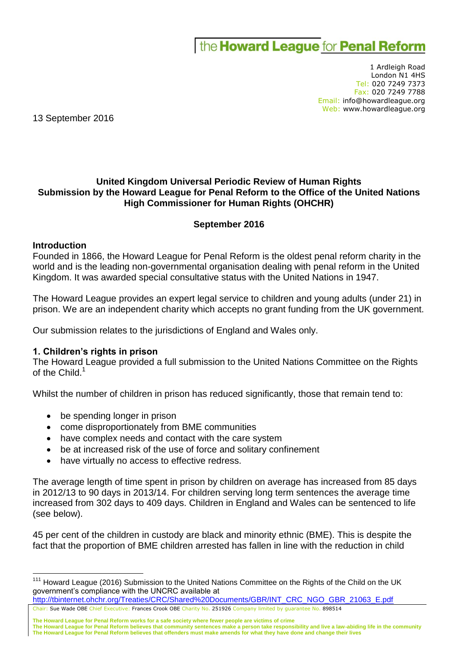# the **Howard League** for **Penal Reform**

1 Ardleigh Road London N1 4HS Tel: 020 7249 7373 Fax: 020 7249 7788 Email: info@howardleague.org Web: www.howardleague.org

13 September 2016

## **United Kingdom Universal Periodic Review of Human Rights Submission by the Howard League for Penal Reform to the Office of the United Nations High Commissioner for Human Rights (OHCHR)**

### **September 2016**

#### **Introduction**

 $\overline{a}$ 

Founded in 1866, the Howard League for Penal Reform is the oldest penal reform charity in the world and is the leading non-governmental organisation dealing with penal reform in the United Kingdom. It was awarded special consultative status with the United Nations in 1947.

The Howard League provides an expert legal service to children and young adults (under 21) in prison. We are an independent charity which accepts no grant funding from the UK government.

Our submission relates to the jurisdictions of England and Wales only.

#### **1. Children's rights in prison**

The Howard League provided a full submission to the United Nations Committee on the Rights of the Child.<sup>1</sup>

Whilst the number of children in prison has reduced significantly, those that remain tend to:

- be spending longer in prison
- come disproportionately from BME communities
- have complex needs and contact with the care system
- be at increased risk of the use of force and solitary confinement
- have virtually no access to effective redress.

The average length of time spent in prison by children on average has increased from 85 days in 2012/13 to 90 days in 2013/14. For children serving long term sentences the average time increased from 302 days to 409 days. Children in England and Wales can be sentenced to life (see below).

45 per cent of the children in custody are black and minority ethnic (BME). This is despite the fact that the proportion of BME children arrested has fallen in line with the reduction in child

- Chair: Sue Wade OBE Chief Executive: Frances Crook OBE Charity No. 251926 Company limited by guarantee No. 898514 [http://tbinternet.ohchr.org/Treaties/CRC/Shared%20Documents/GBR/INT\\_CRC\\_NGO\\_GBR\\_21063\\_E.pdf](http://tbinternet.ohchr.org/Treaties/CRC/Shared%20Documents/GBR/INT_CRC_NGO_GBR_21063_E.pdf)
- **The Howard League for Penal Reform works for a safe society where fewer people are victims of crime**

**The Howard League for Penal Reform believes that community sentences make a person take responsibility and live a law-abiding life in the community The Howard League for Penal Reform believes that offenders must make amends for what they have done and change their lives**

<sup>&</sup>lt;sup>111</sup> Howard League (2016) Submission to the United Nations Committee on the Rights of the Child on the UK government's compliance with the UNCRC available at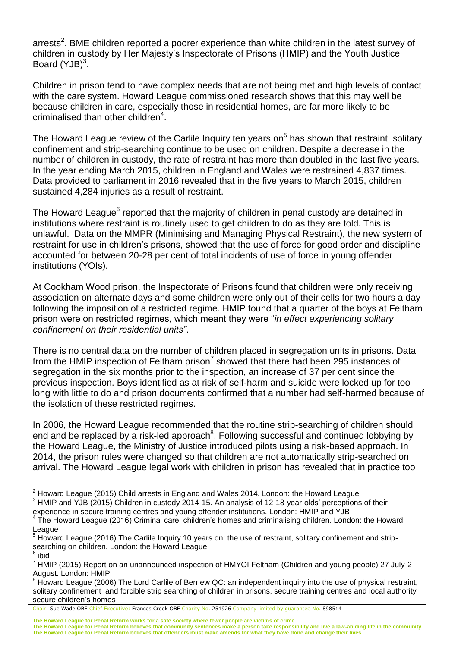arrests<sup>2</sup>. BME children reported a poorer experience than white children in the latest survey of children in custody by Her Majesty's Inspectorate of Prisons (HMIP) and the Youth Justice Board  $(YJB)^3$ .

Children in prison tend to have complex needs that are not being met and high levels of contact with the care system. Howard League commissioned research shows that this may well be because children in care, especially those in residential homes, are far more likely to be criminalised than other children<sup>4</sup>.

The Howard League review of the Carlile Inquiry ten years on<sup>5</sup> has shown that restraint, solitary confinement and strip-searching continue to be used on children. Despite a decrease in the number of children in custody, the rate of restraint has more than doubled in the last five years. In the year ending March 2015, children in England and Wales were restrained 4,837 times. Data provided to parliament in 2016 revealed that in the five years to March 2015, children sustained 4,284 injuries as a result of restraint.

The Howard League<sup>6</sup> reported that the majority of children in penal custody are detained in institutions where restraint is routinely used to get children to do as they are told. This is unlawful. Data on the MMPR (Minimising and Managing Physical Restraint), the new system of restraint for use in children's prisons, showed that the use of force for good order and discipline accounted for between 20-28 per cent of total incidents of use of force in young offender institutions (YOIs).

At Cookham Wood prison, the Inspectorate of Prisons found that children were only receiving association on alternate days and some children were only out of their cells for two hours a day following the imposition of a restricted regime. HMIP found that a quarter of the boys at Feltham prison were on restricted regimes, which meant they were "*in effect experiencing solitary confinement on their residential units"*.

There is no central data on the number of children placed in segregation units in prisons. Data from the HMIP inspection of Feltham prison<sup>7</sup> showed that there had been 295 instances of segregation in the six months prior to the inspection, an increase of 37 per cent since the previous inspection. Boys identified as at risk of self-harm and suicide were locked up for too long with little to do and prison documents confirmed that a number had self-harmed because of the isolation of these restricted regimes.

In 2006, the Howard League recommended that the routine strip-searching of children should end and be replaced by a risk-led approach<sup>8</sup>. Following successful and continued lobbying by the Howard League, the Ministry of Justice introduced pilots using a risk-based approach. In 2014, the prison rules were changed so that children are not automatically strip-searched on arrival. The Howard League legal work with children in prison has revealed that in practice too

<sup>3</sup> HMIP and YJB (2015) Children in custody 2014-15. An analysis of 12-18-year-olds' perceptions of their experience in secure training centres and young offender institutions. London: HMIP and YJB

 $\overline{a}$ 

 $^2$  Howard League (2015) Child arrests in England and Wales 2014. London: the Howard League

<sup>&</sup>lt;sup>4</sup> The Howard League (2016) Criminal care: children's homes and criminalising children. London: the Howard League

<sup>&</sup>lt;sup>5</sup> Howard League (2016) The Carlile Inquiry 10 years on: the use of restraint, solitary confinement and stripsearching on children. London: the Howard League<br><sup>6</sup> ibid

<sup>7</sup> HMIP (2015) Report on an unannounced inspection of HMYOI Feltham (Children and young people) 27 July-2 August. London: HMIP

<sup>&</sup>lt;sup>8</sup> Howard League (2006) The Lord Carlile of Berriew QC: an independent inquiry into the use of physical restraint, solitary confinement and forcible strip searching of children in prisons, secure training centres and local authority secure children's homes

Chair: Sue Wade OBE Chief Executive: Frances Crook OBE Charity No. 251926 Company limited by guarantee No. 898514

**The Howard League for Penal Reform works for a safe society where fewer people are victims of crime**

**The Howard League for Penal Reform believes that community sentences make a person take responsibility and live a law-abiding life in the community The Howard League for Penal Reform believes that offenders must make amends for what they have done and change their lives**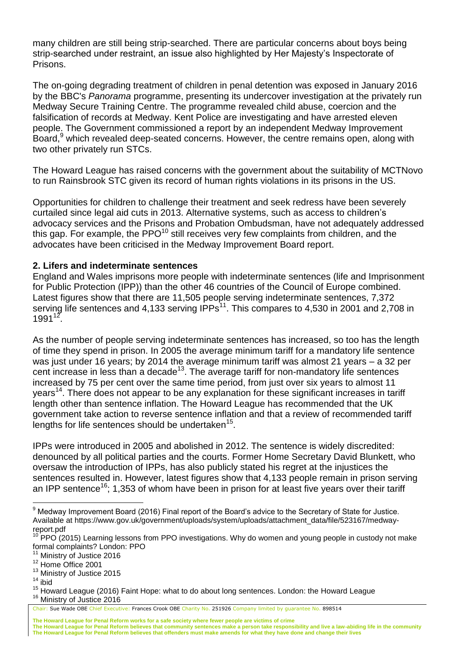many children are still being strip-searched. There are particular concerns about boys being strip-searched under restraint, an issue also highlighted by Her Majesty's Inspectorate of Prisons.

The on-going degrading treatment of children in penal detention was exposed in January 2016 by the BBC's *Panorama* programme, presenting its undercover investigation at the privately run Medway Secure Training Centre. The programme revealed child abuse, coercion and the falsification of records at Medway. Kent Police are investigating and have arrested eleven people. The Government commissioned a report by an independent Medway Improvement Board,<sup>9</sup> which revealed deep-seated concerns. However, the centre remains open, along with two other privately run STCs.

The Howard League has raised concerns with the government about the suitability of MCTNovo to run Rainsbrook STC given its record of human rights violations in its prisons in the US.

Opportunities for children to challenge their treatment and seek redress have been severely curtailed since legal aid cuts in 2013. Alternative systems, such as access to children's advocacy services and the Prisons and Probation Ombudsman, have not adequately addressed this gap. For example, the PPO<sup>10</sup> still receives very few complaints from children, and the advocates have been criticised in the Medway Improvement Board report.

# **2. Lifers and indeterminate sentences**

England and Wales imprisons more people with indeterminate sentences (life and Imprisonment for Public Protection (IPP)) than the other 46 countries of the Council of Europe combined. Latest figures show that there are 11,505 people serving indeterminate sentences, 7,372 serving life sentences and 4,133 serving  $IPPs<sup>11</sup>$ . This compares to 4,530 in 2001 and 2,708 in  $1991^{12}$ .

As the number of people serving indeterminate sentences has increased, so too has the length of time they spend in prison. In 2005 the average minimum tariff for a mandatory life sentence was just under 16 years; by 2014 the average minimum tariff was almost 21 years – a 32 per cent increase in less than a decade<sup>13</sup>. The average tariff for non-mandatory life sentences increased by 75 per cent over the same time period, from just over six years to almost 11 years<sup>14</sup>. There does not appear to be any explanation for these significant increases in tariff length other than sentence inflation. The Howard League has recommended that the UK government take action to reverse sentence inflation and that a review of recommended tariff lengths for life sentences should be undertaken<sup>15</sup>.

IPPs were introduced in 2005 and abolished in 2012. The sentence is widely discredited: denounced by all political parties and the courts. Former Home Secretary David Blunkett, who oversaw the introduction of IPPs, has also publicly stated his regret at the injustices the sentences resulted in. However, latest figures show that 4,133 people remain in prison serving an IPP sentence<sup>16</sup>; 1,353 of whom have been in prison for at least five years over their tariff

**The Howard League for Penal Reform works for a safe society where fewer people are victims of crime**

 $\overline{a}$ <sup>9</sup> Medway Improvement Board (2016) Final report of the Board's advice to the Secretary of State for Justice. Available at https://www.gov.uk/government/uploads/system/uploads/attachment\_data/file/523167/medwayreport.pdf

 $10$  PPO (2015) Learning lessons from PPO investigations. Why do women and young people in custody not make formal complaints? London: PPO

Ministry of Justice 2016

<sup>&</sup>lt;sup>12</sup> Home Office 2001

<sup>&</sup>lt;sup>13</sup> Ministry of Justice 2015

 $14$  ibid

<sup>&</sup>lt;sup>15</sup> Howard League (2016) Faint Hope: what to do about long sentences. London: the Howard League <sup>16</sup> Ministry of Justice 2016

Chair: Sue Wade OBE Chief Executive: Frances Crook OBE Charity No. 251926 Company limited by guarantee No. 898514

**The Howard League for Penal Reform believes that community sentences make a person take responsibility and live a law-abiding life in the community The Howard League for Penal Reform believes that offenders must make amends for what they have done and change their lives**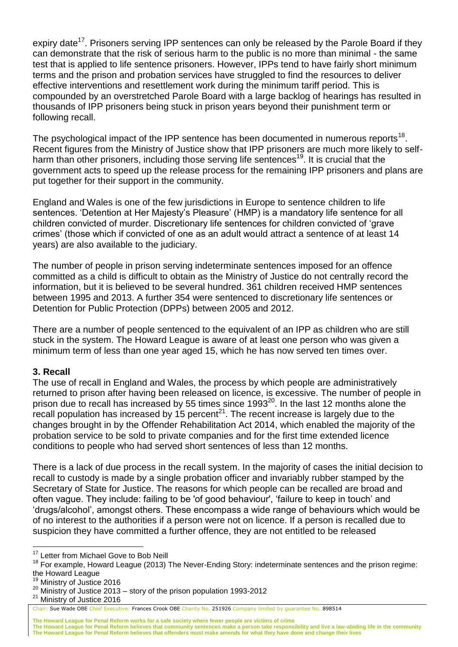expiry date<sup>17</sup>. Prisoners serving IPP sentences can only be released by the Parole Board if they can demonstrate that the risk of serious harm to the public is no more than minimal - the same test that is applied to life sentence prisoners. However, IPPs tend to have fairly short minimum terms and the prison and probation services have struggled to find the resources to deliver effective interventions and resettlement work during the minimum tariff period. This is compounded by an overstretched Parole Board with a large backlog of hearings has resulted in thousands of IPP prisoners being stuck in prison years beyond their punishment term or following recall.

The psychological impact of the IPP sentence has been documented in numerous reports<sup>18</sup>. Recent figures from the Ministry of Justice show that IPP prisoners are much more likely to selfharm than other prisoners, including those serving life sentences<sup>19</sup>. It is crucial that the government acts to speed up the release process for the remaining IPP prisoners and plans are put together for their support in the community.

England and Wales is one of the few jurisdictions in Europe to sentence children to life sentences. 'Detention at Her Majesty's Pleasure' (HMP) is a mandatory life sentence for all children convicted of murder. Discretionary life sentences for children convicted of 'grave crimes' (those which if convicted of one as an adult would attract a sentence of at least 14 years) are also available to the judiciary.

The number of people in prison serving indeterminate sentences imposed for an offence committed as a child is difficult to obtain as the Ministry of Justice do not centrally record the information, but it is believed to be several hundred. 361 children received HMP sentences between 1995 and 2013. A further 354 were sentenced to discretionary life sentences or Detention for Public Protection (DPPs) between 2005 and 2012.

There are a number of people sentenced to the equivalent of an IPP as children who are still stuck in the system. The Howard League is aware of at least one person who was given a minimum term of less than one year aged 15, which he has now served ten times over.

### **3. Recall**

The use of recall in England and Wales, the process by which people are administratively returned to prison after having been released on licence, is excessive. The number of people in prison due to recall has increased by 55 times since  $1993^{20}$ . In the last 12 months alone the recall population has increased by 15 percent $^{21}$ . The recent increase is largely due to the changes brought in by the Offender Rehabilitation Act 2014, which enabled the majority of the probation service to be sold to private companies and for the first time extended licence conditions to people who had served short sentences of less than 12 months.

There is a lack of due process in the recall system. In the majority of cases the initial decision to recall to custody is made by a single probation officer and invariably rubber stamped by the Secretary of State for Justice. The reasons for which people can be recalled are broad and often vague. They include: failing to be 'of good behaviour', 'failure to keep in touch' and 'drugs/alcohol', amongst others. These encompass a wide range of behaviours which would be of no interest to the authorities if a person were not on licence. If a person is recalled due to suspicion they have committed a further offence, they are not entitled to be released

<sup>19</sup> Ministry of Justice 2016

 $\overline{a}$ 

<sup>21</sup> Ministry of Justice 2016

**The Howard League for Penal Reform works for a safe society where fewer people are victims of crime**

**The Howard League for Penal Reform believes that community sentences make a person take responsibility and live a law-abiding life in the community The Howard League for Penal Reform believes that offenders must make amends for what they have done and change their lives**

<sup>&</sup>lt;sup>17</sup> Letter from Michael Gove to Bob Neill

<sup>&</sup>lt;sup>18</sup> For example, Howard League (2013) The Never-Ending Story: indeterminate sentences and the prison regime: the Howard League

<sup>&</sup>lt;sup>20</sup> Ministry of Justice 2013 – story of the prison population 1993-2012

Chair: Sue Wade OBE Chief Executive: Frances Crook OBE Charity No. 251926 Company limited by guarantee No. 898514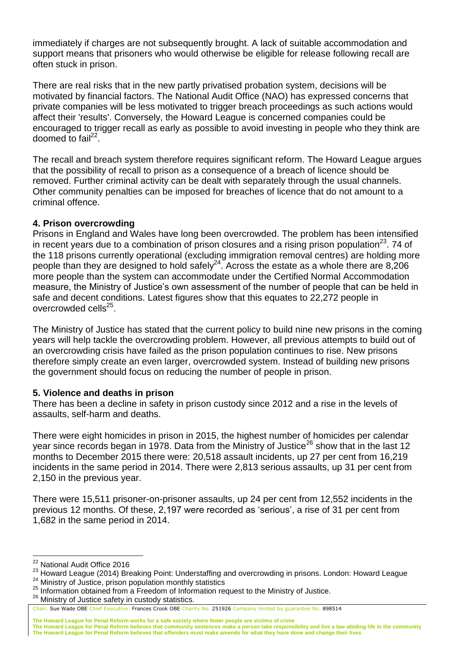immediately if charges are not subsequently brought. A lack of suitable accommodation and support means that prisoners who would otherwise be eligible for release following recall are often stuck in prison.

There are real risks that in the new partly privatised probation system, decisions will be motivated by financial factors. The National Audit Office (NAO) has expressed concerns that private companies will be less motivated to trigger breach proceedings as such actions would affect their 'results'. Conversely, the Howard League is concerned companies could be encouraged to trigger recall as early as possible to avoid investing in people who they think are doomed to fail $^{22}$ .

The recall and breach system therefore requires significant reform. The Howard League argues that the possibility of recall to prison as a consequence of a breach of licence should be removed. Further criminal activity can be dealt with separately through the usual channels. Other community penalties can be imposed for breaches of licence that do not amount to a criminal offence.

## **4. Prison overcrowding**

Prisons in England and Wales have long been overcrowded. The problem has been intensified in recent years due to a combination of prison closures and a rising prison population<sup>23</sup>. 74 of the 118 prisons currently operational (excluding immigration removal centres) are holding more people than they are designed to hold safely<sup>24</sup>. Across the estate as a whole there are 8,206 more people than the system can accommodate under the Certified Normal Accommodation measure, the Ministry of Justice's own assessment of the number of people that can be held in safe and decent conditions. Latest figures show that this equates to 22,272 people in overcrowded cells<sup>25</sup>.

The Ministry of Justice has stated that the current policy to build nine new prisons in the coming years will help tackle the overcrowding problem. However, all previous attempts to build out of an overcrowding crisis have failed as the prison population continues to rise. New prisons therefore simply create an even larger, overcrowded system. Instead of building new prisons the government should focus on reducing the number of people in prison.

### **5. Violence and deaths in prison**

There has been a decline in safety in prison custody since 2012 and a rise in the levels of assaults, self-harm and deaths.

There were eight homicides in prison in 2015, the highest number of homicides per calendar year since records began in 1978. Data from the Ministry of Justice<sup>26</sup> show that in the last 12 months to December 2015 there were: 20,518 assault incidents, up 27 per cent from 16,219 incidents in the same period in 2014. There were 2,813 serious assaults, up 31 per cent from 2,150 in the previous year.

There were 15,511 prisoner-on-prisoner assaults, up 24 per cent from 12,552 incidents in the previous 12 months. Of these, 2,197 were recorded as 'serious', a rise of 31 per cent from 1,682 in the same period in 2014.

 $\overline{a}$ 

Chair: Sue Wade OBE Chief Executive: Frances Crook OBE Charity No. 251926 Company limited by guarantee No. 898514

**The Howard League for Penal Reform believes that community sentences make a person take responsibility and live a law-abiding life in the community The Howard League for Penal Reform believes that offenders must make amends for what they have done and change their lives**

<sup>&</sup>lt;sup>22</sup> National Audit Office 2016

<sup>23</sup> Howard League (2014) Breaking Point: Understaffing and overcrowding in prisons. London: Howard League <sup>24</sup> Ministry of Justice, prison population monthly statistics

<sup>&</sup>lt;sup>25</sup> Information obtained from a Freedom of Information request to the Ministry of Justice.

<sup>&</sup>lt;sup>26</sup> Ministry of Justice safety in custody statistics.

**The Howard League for Penal Reform works for a safe society where fewer people are victims of crime**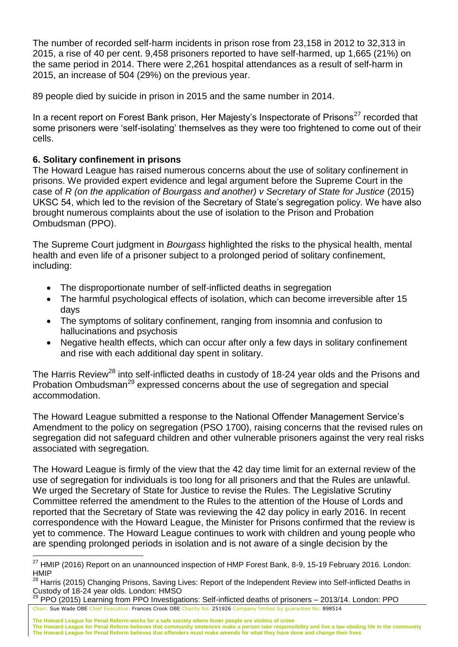The number of recorded self-harm incidents in prison rose from 23,158 in 2012 to 32,313 in 2015, a rise of 40 per cent. 9,458 prisoners reported to have self-harmed, up 1,665 (21%) on the same period in 2014. There were 2,261 hospital attendances as a result of self-harm in 2015, an increase of 504 (29%) on the previous year.

89 people died by suicide in prison in 2015 and the same number in 2014.

In a recent report on Forest Bank prison, Her Majesty's Inspectorate of Prisons<sup>27</sup> recorded that some prisoners were 'self-isolating' themselves as they were too frightened to come out of their cells.

# **6. Solitary confinement in prisons**

 $\overline{a}$ 

The Howard League has raised numerous concerns about the use of solitary confinement in prisons. We provided expert evidence and legal argument before the Supreme Court in the case of *R* (on the application of Bourgass and another) v Secretary of State for Justice (2015) UKSC 54, which led to the revision of the Secretary of State's segregation policy. We have also brought numerous complaints about the use of isolation to the Prison and Probation Ombudsman (PPO).

The Supreme Court judgment in *Bourgass* highlighted the risks to the physical health, mental health and even life of a prisoner subject to a prolonged period of solitary confinement, including:

- The disproportionate number of self-inflicted deaths in segregation
- The harmful psychological effects of isolation, which can become irreversible after 15 days
- The symptoms of solitary confinement, ranging from insomnia and confusion to hallucinations and psychosis
- Negative health effects, which can occur after only a few days in solitary confinement and rise with each additional day spent in solitary.

The Harris Review<sup>28</sup> into self-inflicted deaths in custody of 18-24 year olds and the Prisons and Probation Ombudsman<sup>29</sup> expressed concerns about the use of segregation and special accommodation.

The Howard League submitted a response to the National Offender Management Service's Amendment to the policy on segregation (PSO 1700), raising concerns that the revised rules on segregation did not safeguard children and other vulnerable prisoners against the very real risks associated with segregation.

The Howard League is firmly of the view that the 42 day time limit for an external review of the use of segregation for individuals is too long for all prisoners and that the Rules are unlawful. We urged the Secretary of State for Justice to revise the Rules. The Legislative Scrutiny Committee referred the amendment to the Rules to the attention of the House of Lords and reported that the Secretary of State was reviewing the 42 day policy in early 2016. In recent correspondence with the Howard League, the Minister for Prisons confirmed that the review is yet to commence. The Howard League continues to work with children and young people who are spending prolonged periods in isolation and is not aware of a single decision by the

<sup>&</sup>lt;sup>27</sup> HMIP (2016) Report on an unannounced inspection of HMP Forest Bank, 8-9, 15-19 February 2016. London: **HMIP** 

<sup>&</sup>lt;sup>28</sup> Harris (2015) Changing Prisons, Saving Lives: Report of the Independent Review into Self-inflicted Deaths in Custody of 18-24 year olds*.* London: HMSO

Chair: Sue Wade OBE Chief Executive: Frances Crook OBE Charity No. 251926 Company limited by guarantee No. 898514 <sup>29</sup> PPO (2015) Learning from PPO Investigations: Self-inflicted deaths of prisoners – 2013/14. London: PPO